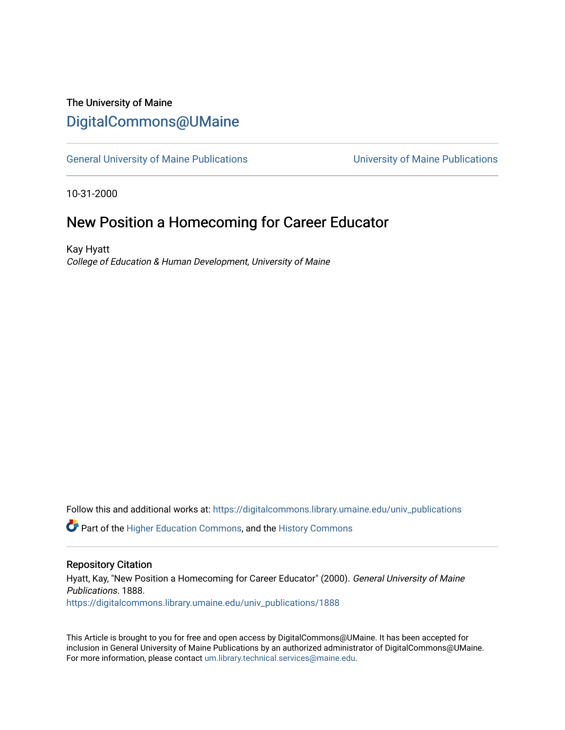## The University of Maine [DigitalCommons@UMaine](https://digitalcommons.library.umaine.edu/)

[General University of Maine Publications](https://digitalcommons.library.umaine.edu/univ_publications) [University of Maine Publications](https://digitalcommons.library.umaine.edu/umaine_publications) 

10-31-2000

### New Position a Homecoming for Career Educator

Kay Hyatt College of Education & Human Development, University of Maine

Follow this and additional works at: [https://digitalcommons.library.umaine.edu/univ\\_publications](https://digitalcommons.library.umaine.edu/univ_publications?utm_source=digitalcommons.library.umaine.edu%2Funiv_publications%2F1888&utm_medium=PDF&utm_campaign=PDFCoverPages) 

**C** Part of the [Higher Education Commons,](http://network.bepress.com/hgg/discipline/1245?utm_source=digitalcommons.library.umaine.edu%2Funiv_publications%2F1888&utm_medium=PDF&utm_campaign=PDFCoverPages) and the [History Commons](http://network.bepress.com/hgg/discipline/489?utm_source=digitalcommons.library.umaine.edu%2Funiv_publications%2F1888&utm_medium=PDF&utm_campaign=PDFCoverPages)

#### Repository Citation

Hyatt, Kay, "New Position a Homecoming for Career Educator" (2000). General University of Maine Publications. 1888. [https://digitalcommons.library.umaine.edu/univ\\_publications/1888](https://digitalcommons.library.umaine.edu/univ_publications/1888?utm_source=digitalcommons.library.umaine.edu%2Funiv_publications%2F1888&utm_medium=PDF&utm_campaign=PDFCoverPages)

This Article is brought to you for free and open access by DigitalCommons@UMaine. It has been accepted for inclusion in General University of Maine Publications by an authorized administrator of DigitalCommons@UMaine. For more information, please contact [um.library.technical.services@maine.edu](mailto:um.library.technical.services@maine.edu).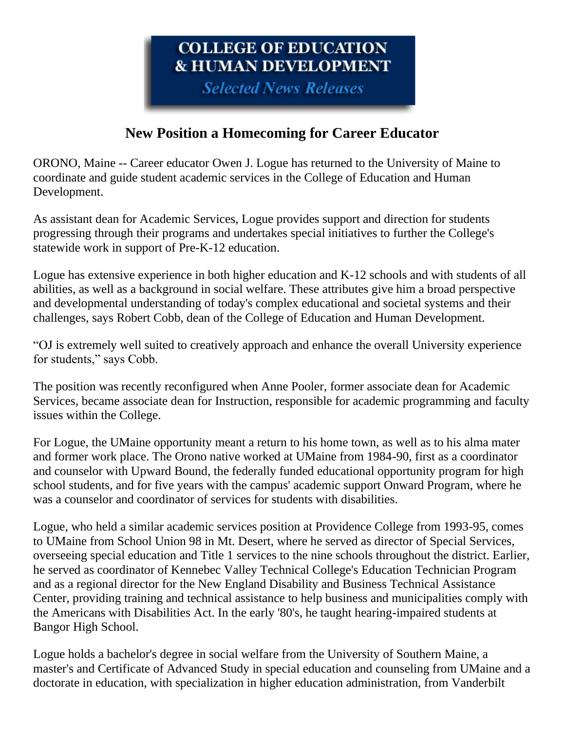# COLLEGE OF EDUCATION **& HUMAN DEVELOPMENT**

**Selected News Releases** 

# **New Position a Homecoming for Career Educator**

ORONO, Maine -- Career educator Owen J. Logue has returned to the University of Maine to coordinate and guide student academic services in the College of Education and Human Development.

As assistant dean for Academic Services, Logue provides support and direction for students progressing through their programs and undertakes special initiatives to further the College's statewide work in support of Pre-K-12 education.

Logue has extensive experience in both higher education and K-12 schools and with students of all abilities, as well as a background in social welfare. These attributes give him a broad perspective and developmental understanding of today's complex educational and societal systems and their challenges, says Robert Cobb, dean of the College of Education and Human Development.

"OJ is extremely well suited to creatively approach and enhance the overall University experience for students," says Cobb.

The position was recently reconfigured when Anne Pooler, former associate dean for Academic Services, became associate dean for Instruction, responsible for academic programming and faculty issues within the College.

For Logue, the UMaine opportunity meant a return to his home town, as well as to his alma mater and former work place. The Orono native worked at UMaine from 1984-90, first as a coordinator and counselor with Upward Bound, the federally funded educational opportunity program for high school students, and for five years with the campus' academic support Onward Program, where he was a counselor and coordinator of services for students with disabilities.

Logue, who held a similar academic services position at Providence College from 1993-95, comes to UMaine from School Union 98 in Mt. Desert, where he served as director of Special Services, overseeing special education and Title 1 services to the nine schools throughout the district. Earlier, he served as coordinator of Kennebec Valley Technical College's Education Technician Program and as a regional director for the New England Disability and Business Technical Assistance Center, providing training and technical assistance to help business and municipalities comply with the Americans with Disabilities Act. In the early '80's, he taught hearing-impaired students at Bangor High School.

Logue holds a bachelor's degree in social welfare from the University of Southern Maine, a master's and Certificate of Advanced Study in special education and counseling from UMaine and a doctorate in education, with specialization in higher education administration, from Vanderbilt